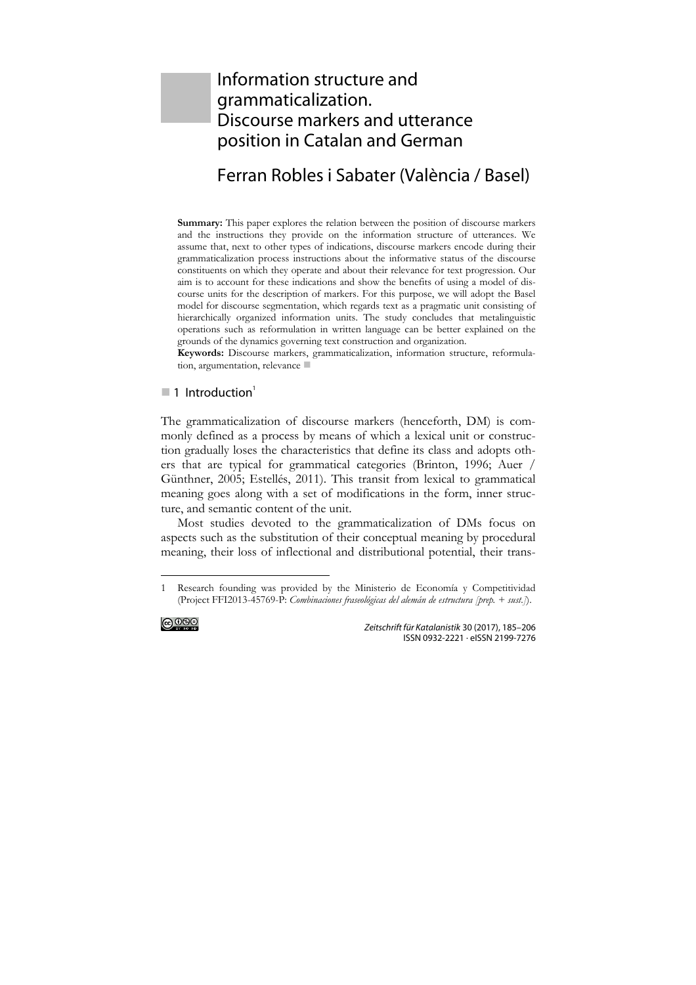# Information structure and grammaticalization. Discourse markers and utterance position in Catalan and German

# Ferran Robles i Sabater (València / Basel)

**Summary:** This paper explores the relation between the position of discourse markers and the instructions they provide on the information structure of utterances. We assume that, next to other types of indications, discourse markers encode during their grammaticalization process instructions about the informative status of the discourse constituents on which they operate and about their relevance for text progression. Our aim is to account for these indications and show the benefits of using a model of discourse units for the description of markers. For this purpose, we will adopt the Basel model for discourse segmentation, which regards text as a pragmatic unit consisting of hierarchically organized information units. The study concludes that metalinguistic operations such as reformulation in written language can be better explained on the grounds of the dynamics governing text construction and organization.

**Keywords:** Discourse markers, grammaticalization, information structure, reformulation, argumentation, relevance

### $\blacksquare$  1 Introduction<sup>1</sup>

The grammaticalization of discourse markers (henceforth, DM) is commonly defined as a process by means of which a lexical unit or construction gradually loses the characteristics that define its class and adopts others that are typical for grammatical categories (Brinton, 1996; Auer / Günthner, 2005; Estellés, 2011). This transit from lexical to grammatical meaning goes along with a set of modifications in the form, inner structure, and semantic content of the unit.

Most studies devoted to the grammaticalization of DMs focus on aspects such as the substitution of their conceptual meaning by procedural meaning, their loss of inflectional and distributional potential, their trans-

<sup>1</sup> Research founding was provided by the Ministerio de Economía y Competitividad (Project FFI2013-45769-P: *Combinaciones fraseológicas del alemán de estructura [prep. + sust.]*).



 $\overline{a}$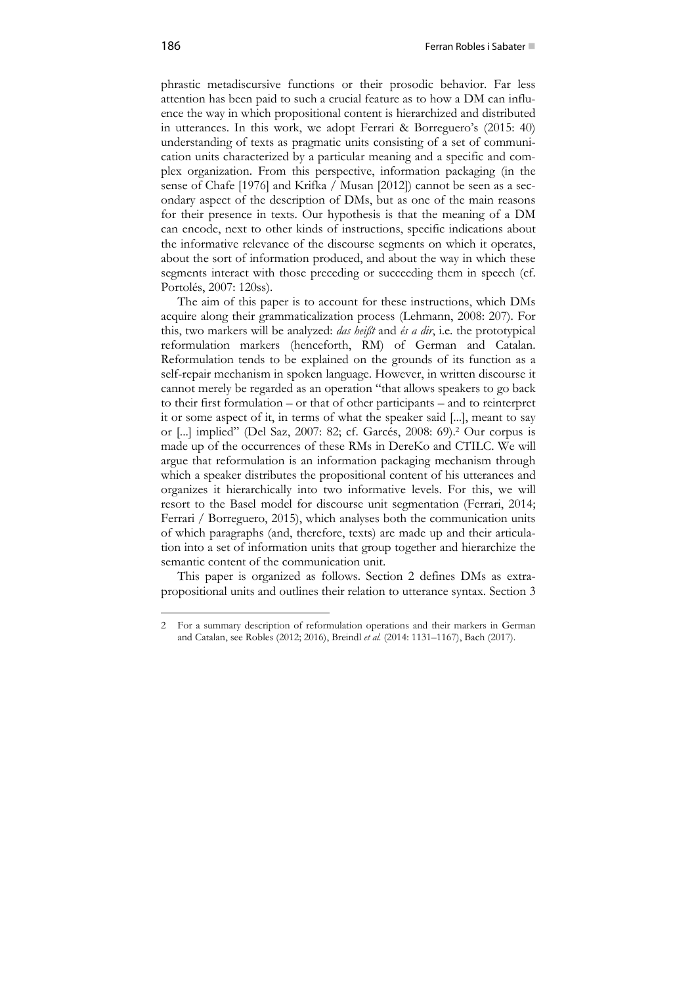phrastic metadiscursive functions or their prosodic behavior. Far less attention has been paid to such a crucial feature as to how a DM can influence the way in which propositional content is hierarchized and distributed in utterances. In this work, we adopt Ferrari & Borreguero's (2015: 40) understanding of texts as pragmatic units consisting of a set of communication units characterized by a particular meaning and a specific and complex organization. From this perspective, information packaging (in the sense of Chafe [1976] and Krifka / Musan [2012]) cannot be seen as a secondary aspect of the description of DMs, but as one of the main reasons for their presence in texts. Our hypothesis is that the meaning of a DM can encode, next to other kinds of instructions, specific indications about the informative relevance of the discourse segments on which it operates, about the sort of information produced, and about the way in which these segments interact with those preceding or succeeding them in speech (cf. Portolés, 2007: 120ss).

The aim of this paper is to account for these instructions, which DMs acquire along their grammaticalization process (Lehmann, 2008: 207). For this, two markers will be analyzed: *das heißt* and *és a dir*, i.e. the prototypical reformulation markers (henceforth, RM) of German and Catalan. Reformulation tends to be explained on the grounds of its function as a self-repair mechanism in spoken language. However, in written discourse it cannot merely be regarded as an operation "that allows speakers to go back to their first formulation – or that of other participants – and to reinterpret it or some aspect of it, in terms of what the speaker said [...], meant to say or [...] implied" (Del Saz, 2007: 82; cf. Garcés, 2008: 69).2 Our corpus is made up of the occurrences of these RMs in DereKo and CTILC. We will argue that reformulation is an information packaging mechanism through which a speaker distributes the propositional content of his utterances and organizes it hierarchically into two informative levels. For this, we will resort to the Basel model for discourse unit segmentation (Ferrari, 2014; Ferrari / Borreguero, 2015), which analyses both the communication units of which paragraphs (and, therefore, texts) are made up and their articulation into a set of information units that group together and hierarchize the semantic content of the communication unit.

This paper is organized as follows. Section 2 defines DMs as extrapropositional units and outlines their relation to utterance syntax. Section 3

<sup>2</sup> For a summary description of reformulation operations and their markers in German and Catalan, see Robles (2012; 2016), Breindl *et al.* (2014: 1131–1167), Bach (2017).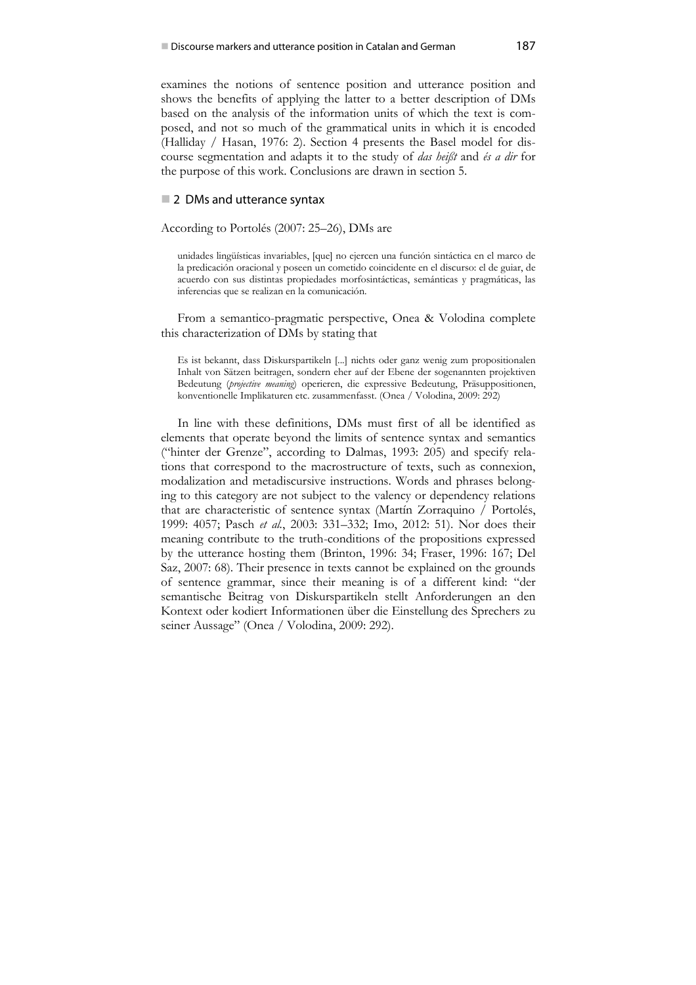examines the notions of sentence position and utterance position and shows the benefits of applying the latter to a better description of DMs based on the analysis of the information units of which the text is composed, and not so much of the grammatical units in which it is encoded (Halliday / Hasan, 1976: 2). Section 4 presents the Basel model for discourse segmentation and adapts it to the study of *das heißt* and *és a dir* for the purpose of this work. Conclusions are drawn in section 5.

#### ■ 2 DMs and utterance syntax

According to Portolés (2007: 25–26), DMs are

unidades lingüísticas invariables, [que] no ejercen una función sintáctica en el marco de la predicación oracional y poseen un cometido coincidente en el discurso: el de guiar, de acuerdo con sus distintas propiedades morfosintácticas, semánticas y pragmáticas, las inferencias que se realizan en la comunicación.

From a semantico-pragmatic perspective, Onea & Volodina complete this characterization of DMs by stating that

Es ist bekannt, dass Diskurspartikeln [...] nichts oder ganz wenig zum propositionalen Inhalt von Sätzen beitragen, sondern eher auf der Ebene der sogenannten projektiven Bedeutung (*projective meaning*) operieren, die expressive Bedeutung, Präsuppositionen, konventionelle Implikaturen etc. zusammenfasst. (Onea / Volodina, 2009: 292)

In line with these definitions, DMs must first of all be identified as elements that operate beyond the limits of sentence syntax and semantics ("hinter der Grenze", according to Dalmas, 1993: 205) and specify relations that correspond to the macrostructure of texts, such as connexion, modalization and metadiscursive instructions. Words and phrases belonging to this category are not subject to the valency or dependency relations that are characteristic of sentence syntax (Martín Zorraquino / Portolés, 1999: 4057; Pasch *et al.*, 2003: 331–332; Imo, 2012: 51). Nor does their meaning contribute to the truth-conditions of the propositions expressed by the utterance hosting them (Brinton, 1996: 34; Fraser, 1996: 167; Del Saz, 2007: 68). Their presence in texts cannot be explained on the grounds of sentence grammar, since their meaning is of a different kind: "der semantische Beitrag von Diskurspartikeln stellt Anforderungen an den Kontext oder kodiert Informationen über die Einstellung des Sprechers zu seiner Aussage" (Onea / Volodina, 2009: 292).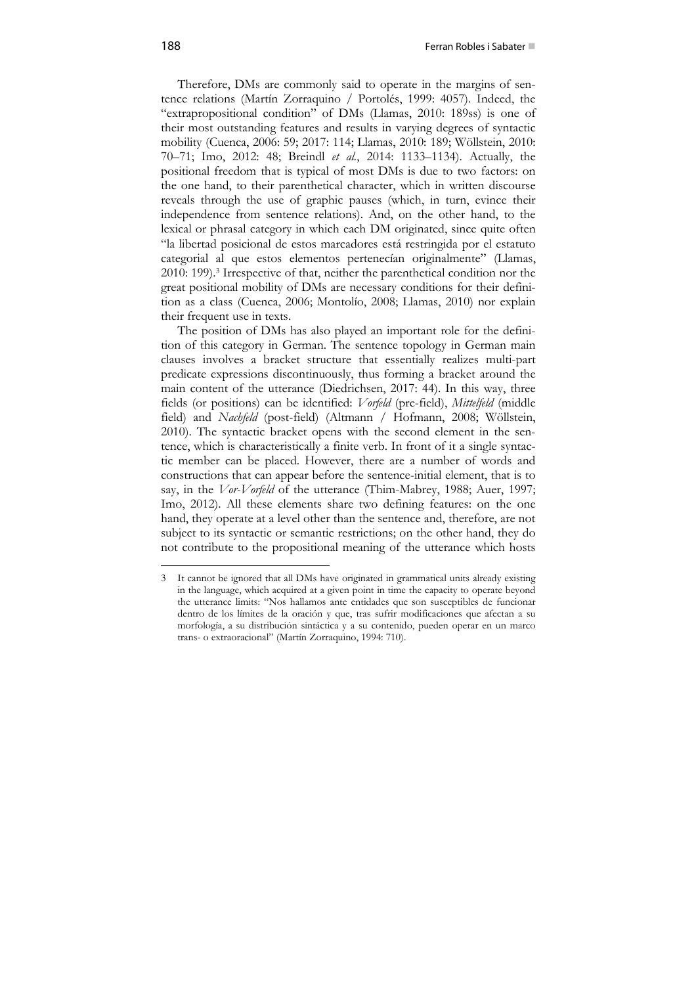Therefore, DMs are commonly said to operate in the margins of sentence relations (Martín Zorraquino / Portolés, 1999: 4057). Indeed, the "extrapropositional condition" of DMs (Llamas, 2010: 189ss) is one of their most outstanding features and results in varying degrees of syntactic mobility (Cuenca, 2006: 59; 2017: 114; Llamas, 2010: 189; Wöllstein, 2010: 70–71; Imo, 2012: 48; Breindl *et al.*, 2014: 1133–1134). Actually, the positional freedom that is typical of most DMs is due to two factors: on the one hand, to their parenthetical character, which in written discourse reveals through the use of graphic pauses (which, in turn, evince their independence from sentence relations). And, on the other hand, to the lexical or phrasal category in which each DM originated, since quite often "la libertad posicional de estos marcadores está restringida por el estatuto categorial al que estos elementos pertenecían originalmente" (Llamas, 2010: 199).3 Irrespective of that, neither the parenthetical condition nor the great positional mobility of DMs are necessary conditions for their definition as a class (Cuenca, 2006; Montolío, 2008; Llamas, 2010) nor explain their frequent use in texts.

The position of DMs has also played an important role for the definition of this category in German. The sentence topology in German main clauses involves a bracket structure that essentially realizes multi-part predicate expressions discontinuously, thus forming a bracket around the main content of the utterance (Diedrichsen, 2017: 44). In this way, three fields (or positions) can be identified: *Vorfeld* (pre-field), *Mittelfeld* (middle field) and *Nachfeld* (post-field) (Altmann / Hofmann, 2008; Wöllstein, 2010). The syntactic bracket opens with the second element in the sentence, which is characteristically a finite verb. In front of it a single syntactic member can be placed. However, there are a number of words and constructions that can appear before the sentence-initial element, that is to say, in the *Vor-Vorfeld* of the utterance (Thim-Mabrey, 1988; Auer, 1997; Imo, 2012). All these elements share two defining features: on the one hand, they operate at a level other than the sentence and, therefore, are not subject to its syntactic or semantic restrictions; on the other hand, they do not contribute to the propositional meaning of the utterance which hosts

<sup>3</sup> It cannot be ignored that all DMs have originated in grammatical units already existing in the language, which acquired at a given point in time the capacity to operate beyond the utterance limits: "Nos hallamos ante entidades que son susceptibles de funcionar dentro de los límites de la oración y que, tras sufrir modificaciones que afectan a su morfología, a su distribución sintáctica y a su contenido, pueden operar en un marco trans- o extraoracional" (Martín Zorraquino, 1994: 710).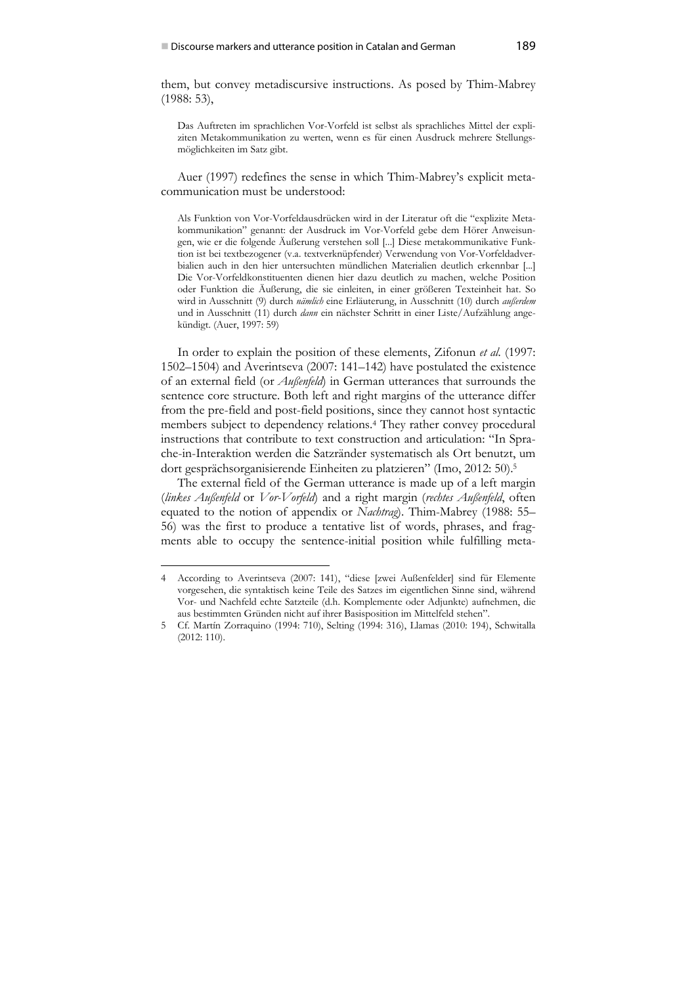them, but convey metadiscursive instructions. As posed by Thim-Mabrey (1988: 53),

Das Auftreten im sprachlichen Vor-Vorfeld ist selbst als sprachliches Mittel der expliziten Metakommunikation zu werten, wenn es für einen Ausdruck mehrere Stellungsmöglichkeiten im Satz gibt.

Auer (1997) redefines the sense in which Thim-Mabrey's explicit metacommunication must be understood:

Als Funktion von Vor-Vorfeldausdrücken wird in der Literatur oft die "explizite Metakommunikation" genannt: der Ausdruck im Vor-Vorfeld gebe dem Hörer Anweisungen, wie er die folgende Äußerung verstehen soll [...] Diese metakommunikative Funktion ist bei textbezogener (v.a. textverknüpfender) Verwendung von Vor-Vorfeldadverbialien auch in den hier untersuchten mündlichen Materialien deutlich erkennbar [...] Die Vor-Vorfeldkonstituenten dienen hier dazu deutlich zu machen, welche Position oder Funktion die Äußerung, die sie einleiten, in einer größeren Texteinheit hat. So wird in Ausschnitt (9) durch *nämlich* eine Erläuterung, in Ausschnitt (10) durch *außerdem* und in Ausschnitt (11) durch *dann* ein nächster Schritt in einer Liste/Aufzählung angekündigt. (Auer, 1997: 59)

In order to explain the position of these elements, Zifonun *et al.* (1997: 1502–1504) and Averintseva (2007: 141–142) have postulated the existence of an external field (or *Außenfeld*) in German utterances that surrounds the sentence core structure. Both left and right margins of the utterance differ from the pre-field and post-field positions, since they cannot host syntactic members subject to dependency relations.4 They rather convey procedural instructions that contribute to text construction and articulation: "In Sprache-in-Interaktion werden die Satzränder systematisch als Ort benutzt, um dort gesprächsorganisierende Einheiten zu platzieren" (Imo, 2012: 50).5

The external field of the German utterance is made up of a left margin (*linkes Außenfeld* or *Vor-Vorfeld*) and a right margin (*rechtes Außenfeld*, often equated to the notion of appendix or *Nachtrag*). Thim-Mabrey (1988: 55– 56) was the first to produce a tentative list of words, phrases, and fragments able to occupy the sentence-initial position while fulfilling meta-

<sup>4</sup> According to Averintseva (2007: 141), "diese [zwei Außenfelder] sind für Elemente vorgesehen, die syntaktisch keine Teile des Satzes im eigentlichen Sinne sind, während Vor- und Nachfeld echte Satzteile (d.h. Komplemente oder Adjunkte) aufnehmen, die aus bestimmten Gründen nicht auf ihrer Basisposition im Mittelfeld stehen".

<sup>5</sup> Cf. Martín Zorraquino (1994: 710), Selting (1994: 316), Llamas (2010: 194), Schwitalla (2012: 110).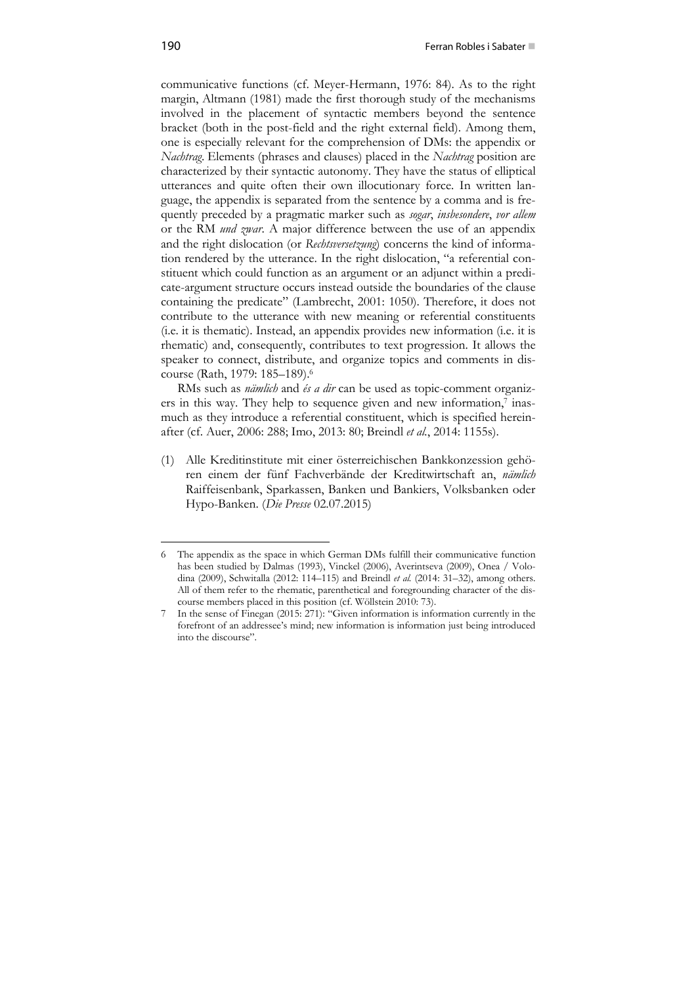communicative functions (cf. Meyer-Hermann, 1976: 84). As to the right margin, Altmann (1981) made the first thorough study of the mechanisms involved in the placement of syntactic members beyond the sentence bracket (both in the post-field and the right external field). Among them, one is especially relevant for the comprehension of DMs: the appendix or *Nachtrag*. Elements (phrases and clauses) placed in the *Nachtrag* position are characterized by their syntactic autonomy. They have the status of elliptical utterances and quite often their own illocutionary force. In written language, the appendix is separated from the sentence by a comma and is frequently preceded by a pragmatic marker such as *sogar*, *insbesondere*, *vor allem* or the RM *und zwar*. A major difference between the use of an appendix and the right dislocation (or *Rechtsversetzung*) concerns the kind of information rendered by the utterance. In the right dislocation, "a referential constituent which could function as an argument or an adjunct within a predicate-argument structure occurs instead outside the boundaries of the clause containing the predicate" (Lambrecht, 2001: 1050). Therefore, it does not contribute to the utterance with new meaning or referential constituents (i.e. it is thematic). Instead, an appendix provides new information (i.e. it is rhematic) and, consequently, contributes to text progression. It allows the speaker to connect, distribute, and organize topics and comments in discourse (Rath, 1979: 185–189).6

RMs such as *nämlich* and *és a dir* can be used as topic-comment organizers in this way. They help to sequence given and new information,<sup>7</sup> inasmuch as they introduce a referential constituent, which is specified hereinafter (cf. Auer, 2006: 288; Imo, 2013: 80; Breindl *et al.*, 2014: 1155s).

(1) Alle Kreditinstitute mit einer österreichischen Bankkonzession gehören einem der fünf Fachverbände der Kreditwirtschaft an, *nämlich* Raiffeisenbank, Sparkassen, Banken und Bankiers, Volksbanken oder Hypo-Banken. (*Die Presse* 02.07.2015)

<sup>6</sup> The appendix as the space in which German DMs fulfill their communicative function has been studied by Dalmas (1993), Vinckel (2006), Averintseva (2009), Onea / Volodina (2009), Schwitalla (2012: 114–115) and Breindl *et al.* (2014: 31–32), among others. All of them refer to the rhematic, parenthetical and foregrounding character of the discourse members placed in this position (cf. Wöllstein 2010: 73).

<sup>7</sup> In the sense of Finegan (2015: 271): "Given information is information currently in the forefront of an addressee's mind; new information is information just being introduced into the discourse".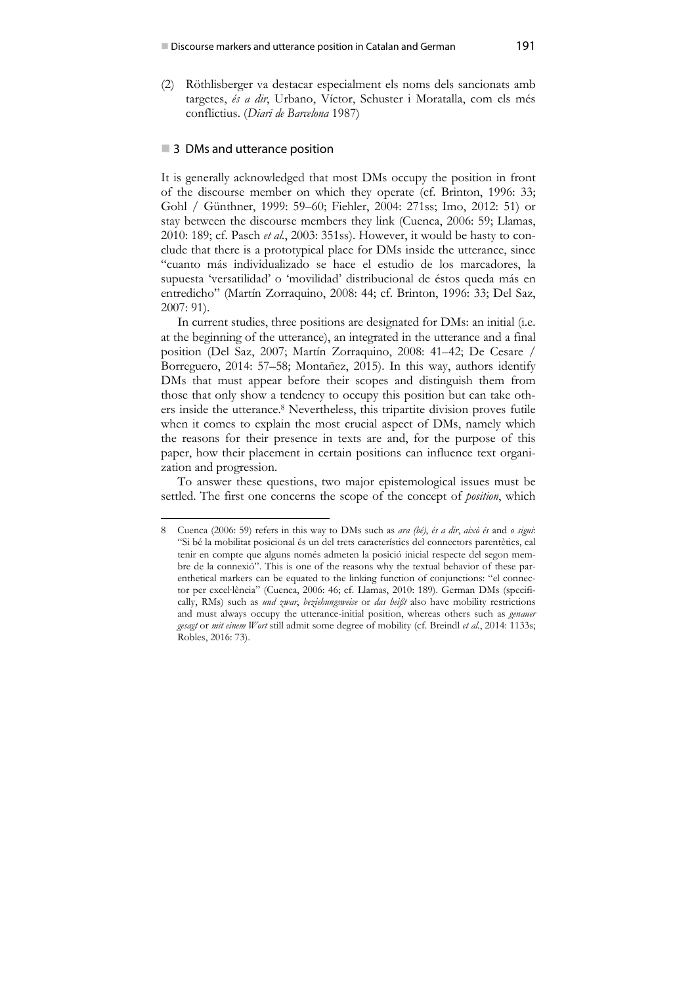(2) Röthlisberger va destacar especialment els noms dels sancionats amb targetes, *és a dir*, Urbano, Víctor, Schuster i Moratalla, com els més conflictius. (*Diari de Barcelona* 1987)

### ■ 3 DMs and utterance position

1

It is generally acknowledged that most DMs occupy the position in front of the discourse member on which they operate (cf. Brinton, 1996: 33; Gohl / Günthner, 1999: 59–60; Fiehler, 2004: 271ss; Imo, 2012: 51) or stay between the discourse members they link (Cuenca, 2006: 59; Llamas, 2010: 189; cf. Pasch *et al.*, 2003: 351ss). However, it would be hasty to conclude that there is a prototypical place for DMs inside the utterance, since "cuanto más individualizado se hace el estudio de los marcadores, la supuesta 'versatilidad' o 'movilidad' distribucional de éstos queda más en entredicho" (Martín Zorraquino, 2008: 44; cf. Brinton, 1996: 33; Del Saz, 2007: 91).

In current studies, three positions are designated for DMs: an initial (i.e. at the beginning of the utterance), an integrated in the utterance and a final position (Del Saz, 2007; Martín Zorraquino, 2008: 41–42; De Cesare / Borreguero, 2014: 57–58; Montañez, 2015). In this way, authors identify DMs that must appear before their scopes and distinguish them from those that only show a tendency to occupy this position but can take others inside the utterance.8 Nevertheless, this tripartite division proves futile when it comes to explain the most crucial aspect of DMs, namely which the reasons for their presence in texts are and, for the purpose of this paper, how their placement in certain positions can influence text organization and progression.

To answer these questions, two major epistemological issues must be settled. The first one concerns the scope of the concept of *position*, which

<sup>8</sup> Cuenca (2006: 59) refers in this way to DMs such as *ara (bé)*, *és a dir*, *això és* and *o sigui*: "Si bé la mobilitat posicional és un del trets característics del connectors parentètics, cal tenir en compte que alguns només admeten la posició inicial respecte del segon membre de la connexió". This is one of the reasons why the textual behavior of these parenthetical markers can be equated to the linking function of conjunctions: "el connector per excel∙lència" (Cuenca, 2006: 46; cf. Llamas, 2010: 189). German DMs (specifically, RMs) such as *und zwar*, *beziehungsweise* or *das heißt* also have mobility restrictions and must always occupy the utterance-initial position, whereas others such as *genauer gesagt* or *mit einem Wort* still admit some degree of mobility (cf. Breindl *et al.*, 2014: 1133s; Robles, 2016: 73).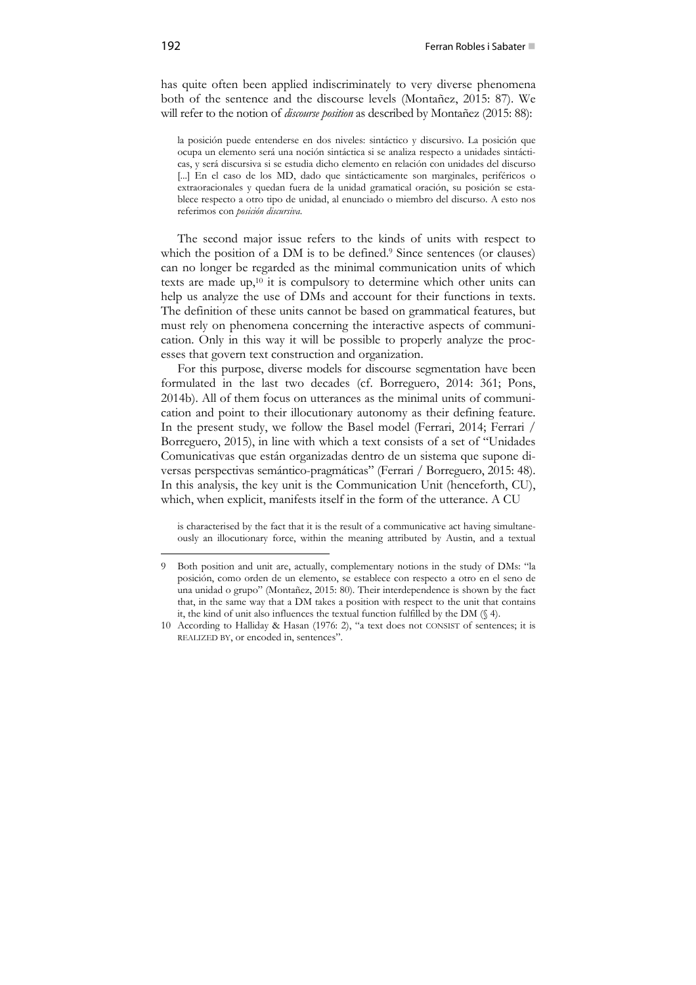has quite often been applied indiscriminately to very diverse phenomena both of the sentence and the discourse levels (Montañez, 2015: 87). We will refer to the notion of *discourse position* as described by Montañez (2015: 88):

la posición puede entenderse en dos niveles: sintáctico y discursivo. La posición que ocupa un elemento será una noción sintáctica si se analiza respecto a unidades sintácticas, y será discursiva si se estudia dicho elemento en relación con unidades del discurso [...] En el caso de los MD, dado que sintácticamente son marginales, periféricos o extraoracionales y quedan fuera de la unidad gramatical oración, su posición se establece respecto a otro tipo de unidad, al enunciado o miembro del discurso. A esto nos referimos con *posición discursiva*.

The second major issue refers to the kinds of units with respect to which the position of a DM is to be defined.<sup>9</sup> Since sentences (or clauses) can no longer be regarded as the minimal communication units of which texts are made up,10 it is compulsory to determine which other units can help us analyze the use of DMs and account for their functions in texts. The definition of these units cannot be based on grammatical features, but must rely on phenomena concerning the interactive aspects of communication. Only in this way it will be possible to properly analyze the processes that govern text construction and organization.

For this purpose, diverse models for discourse segmentation have been formulated in the last two decades (cf. Borreguero, 2014: 361; Pons, 2014b). All of them focus on utterances as the minimal units of communication and point to their illocutionary autonomy as their defining feature. In the present study, we follow the Basel model (Ferrari, 2014; Ferrari / Borreguero, 2015), in line with which a text consists of a set of "Unidades Comunicativas que están organizadas dentro de un sistema que supone diversas perspectivas semántico-pragmáticas" (Ferrari / Borreguero, 2015: 48). In this analysis, the key unit is the Communication Unit (henceforth, CU), which, when explicit, manifests itself in the form of the utterance. A CU

is characterised by the fact that it is the result of a communicative act having simultaneously an illocutionary force, within the meaning attributed by Austin, and a textual

<sup>9</sup> Both position and unit are, actually, complementary notions in the study of DMs: "la posición, como orden de un elemento, se establece con respecto a otro en el seno de una unidad o grupo" (Montañez, 2015: 80). Their interdependence is shown by the fact that, in the same way that a DM takes a position with respect to the unit that contains it, the kind of unit also influences the textual function fulfilled by the DM (§ 4).

<sup>10</sup> According to Halliday & Hasan (1976: 2), "a text does not CONSIST of sentences; it is REALIZED BY, or encoded in, sentences".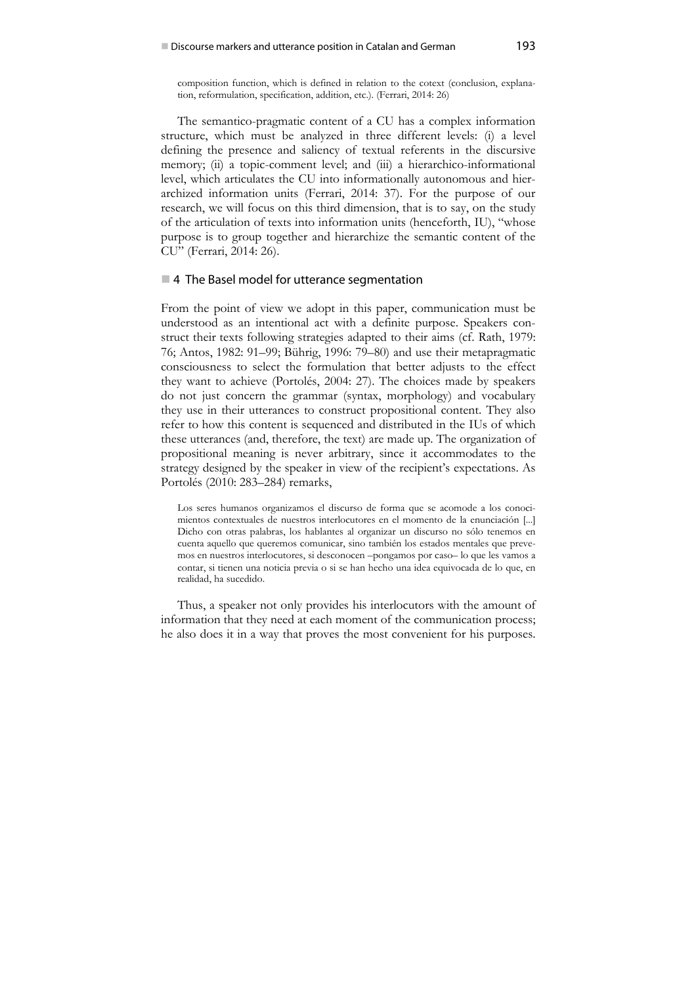composition function, which is defined in relation to the cotext (conclusion, explanation, reformulation, specification, addition, etc.). (Ferrari, 2014: 26)

The semantico-pragmatic content of a CU has a complex information structure, which must be analyzed in three different levels: (i) a level defining the presence and saliency of textual referents in the discursive memory; (ii) a topic-comment level; and (iii) a hierarchico-informational level, which articulates the CU into informationally autonomous and hierarchized information units (Ferrari, 2014: 37). For the purpose of our research, we will focus on this third dimension, that is to say, on the study of the articulation of texts into information units (henceforth, IU), "whose purpose is to group together and hierarchize the semantic content of the CU" (Ferrari, 2014: 26).

### ■4 The Basel model for utterance segmentation

From the point of view we adopt in this paper, communication must be understood as an intentional act with a definite purpose. Speakers construct their texts following strategies adapted to their aims (cf. Rath, 1979: 76; Antos, 1982: 91–99; Bührig, 1996: 79–80) and use their metapragmatic consciousness to select the formulation that better adjusts to the effect they want to achieve (Portolés, 2004: 27). The choices made by speakers do not just concern the grammar (syntax, morphology) and vocabulary they use in their utterances to construct propositional content. They also refer to how this content is sequenced and distributed in the IUs of which these utterances (and, therefore, the text) are made up. The organization of propositional meaning is never arbitrary, since it accommodates to the strategy designed by the speaker in view of the recipient's expectations. As Portolés (2010: 283–284) remarks,

Los seres humanos organizamos el discurso de forma que se acomode a los conocimientos contextuales de nuestros interlocutores en el momento de la enunciación [...] Dicho con otras palabras, los hablantes al organizar un discurso no sólo tenemos en cuenta aquello que queremos comunicar, sino también los estados mentales que prevemos en nuestros interlocutores, si desconocen –pongamos por caso– lo que les vamos a contar, si tienen una noticia previa o si se han hecho una idea equivocada de lo que, en realidad, ha sucedido.

Thus, a speaker not only provides his interlocutors with the amount of information that they need at each moment of the communication process; he also does it in a way that proves the most convenient for his purposes.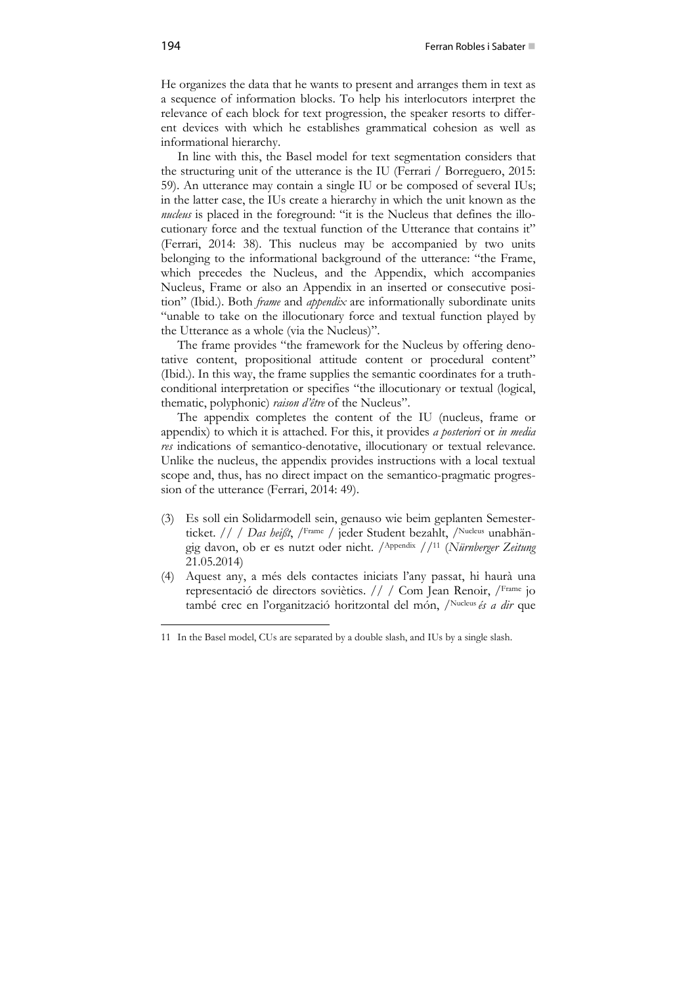He organizes the data that he wants to present and arranges them in text as a sequence of information blocks. To help his interlocutors interpret the relevance of each block for text progression, the speaker resorts to different devices with which he establishes grammatical cohesion as well as informational hierarchy.

In line with this, the Basel model for text segmentation considers that the structuring unit of the utterance is the IU (Ferrari / Borreguero, 2015: 59). An utterance may contain a single IU or be composed of several IUs; in the latter case, the IUs create a hierarchy in which the unit known as the *nucleus* is placed in the foreground: "it is the Nucleus that defines the illocutionary force and the textual function of the Utterance that contains it" (Ferrari, 2014: 38). This nucleus may be accompanied by two units belonging to the informational background of the utterance: "the Frame, which precedes the Nucleus, and the Appendix, which accompanies Nucleus, Frame or also an Appendix in an inserted or consecutive position" (Ibid.). Both *frame* and *appendix* are informationally subordinate units "unable to take on the illocutionary force and textual function played by the Utterance as a whole (via the Nucleus)".

The frame provides "the framework for the Nucleus by offering denotative content, propositional attitude content or procedural content" (Ibid.). In this way, the frame supplies the semantic coordinates for a truthconditional interpretation or specifies "the illocutionary or textual (logical, thematic, polyphonic) *raison d'être* of the Nucleus".

The appendix completes the content of the IU (nucleus, frame or appendix) to which it is attached. For this, it provides *a posteriori* or *in media res* indications of semantico-denotative, illocutionary or textual relevance. Unlike the nucleus, the appendix provides instructions with a local textual scope and, thus, has no direct impact on the semantico-pragmatic progression of the utterance (Ferrari, 2014: 49).

- (3) Es soll ein Solidarmodell sein, genauso wie beim geplanten Semesterticket. // / *Das heißt*, /<sup>Frame</sup> / jeder Student bezahlt, /<sup>Nucleus</sup> unabhängig davon, ob er es nutzt oder nicht. /Appendix //11 (*Nürnberger Zeitung* 21.05.2014)
- (4) Aquest any, a més dels contactes iniciats l'any passat, hi haurà una representació de directors soviètics. // / Com Jean Renoir, /Frame jo també crec en l'organització horitzontal del món, /Nucleus *és a dir* que

<sup>1</sup> 11 In the Basel model, CUs are separated by a double slash, and IUs by a single slash.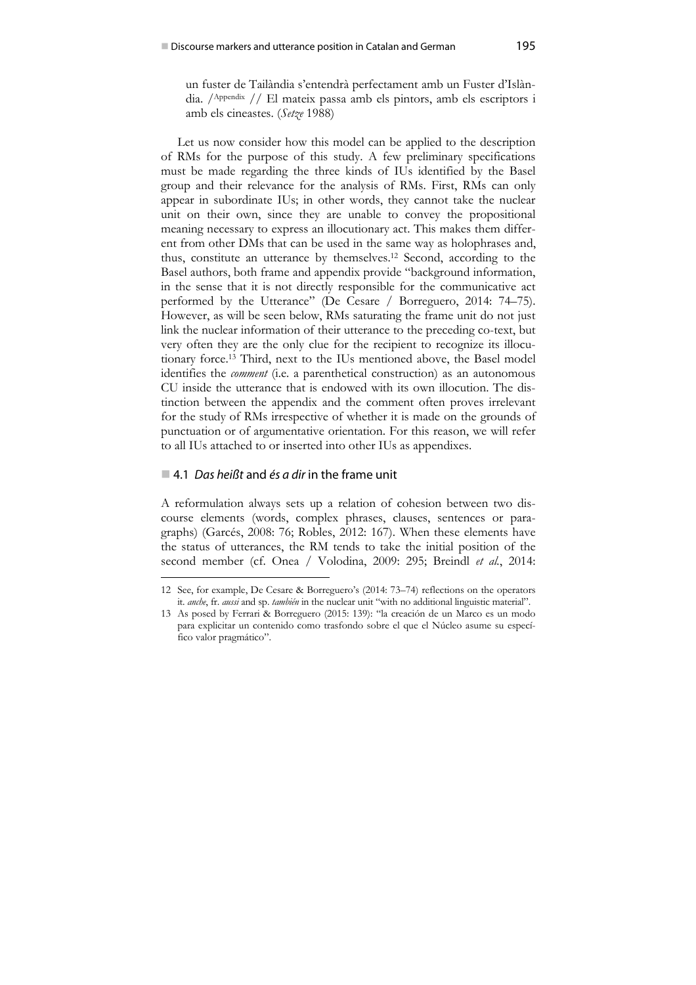un fuster de Tailàndia s'entendrà perfectament amb un Fuster d'Islàndia. /Appendix // El mateix passa amb els pintors, amb els escriptors i amb els cineastes. (*Setze* 1988)

Let us now consider how this model can be applied to the description of RMs for the purpose of this study. A few preliminary specifications must be made regarding the three kinds of IUs identified by the Basel group and their relevance for the analysis of RMs. First, RMs can only appear in subordinate IUs; in other words, they cannot take the nuclear unit on their own, since they are unable to convey the propositional meaning necessary to express an illocutionary act. This makes them different from other DMs that can be used in the same way as holophrases and, thus, constitute an utterance by themselves.12 Second, according to the Basel authors, both frame and appendix provide "background information, in the sense that it is not directly responsible for the communicative act performed by the Utterance" (De Cesare / Borreguero, 2014: 74–75). However, as will be seen below, RMs saturating the frame unit do not just link the nuclear information of their utterance to the preceding co-text, but very often they are the only clue for the recipient to recognize its illocutionary force.13 Third, next to the IUs mentioned above, the Basel model identifies the *comment* (i.e. a parenthetical construction) as an autonomous CU inside the utterance that is endowed with its own illocution. The distinction between the appendix and the comment often proves irrelevant for the study of RMs irrespective of whether it is made on the grounds of punctuation or of argumentative orientation. For this reason, we will refer to all IUs attached to or inserted into other IUs as appendixes.

### 4.1 *Das heißt* and *és a dir* in the frame unit

1

A reformulation always sets up a relation of cohesion between two discourse elements (words, complex phrases, clauses, sentences or paragraphs) (Garcés, 2008: 76; Robles, 2012: 167). When these elements have the status of utterances, the RM tends to take the initial position of the second member (cf. Onea / Volodina, 2009: 295; Breindl *et al.*, 2014:

<sup>12</sup> See, for example, De Cesare & Borreguero's (2014: 73–74) reflections on the operators it. *anche*, fr. *aussi* and sp. *también* in the nuclear unit "with no additional linguistic material".

<sup>13</sup> As posed by Ferrari & Borreguero (2015: 139): "la creación de un Marco es un modo para explicitar un contenido como trasfondo sobre el que el Núcleo asume su específico valor pragmático".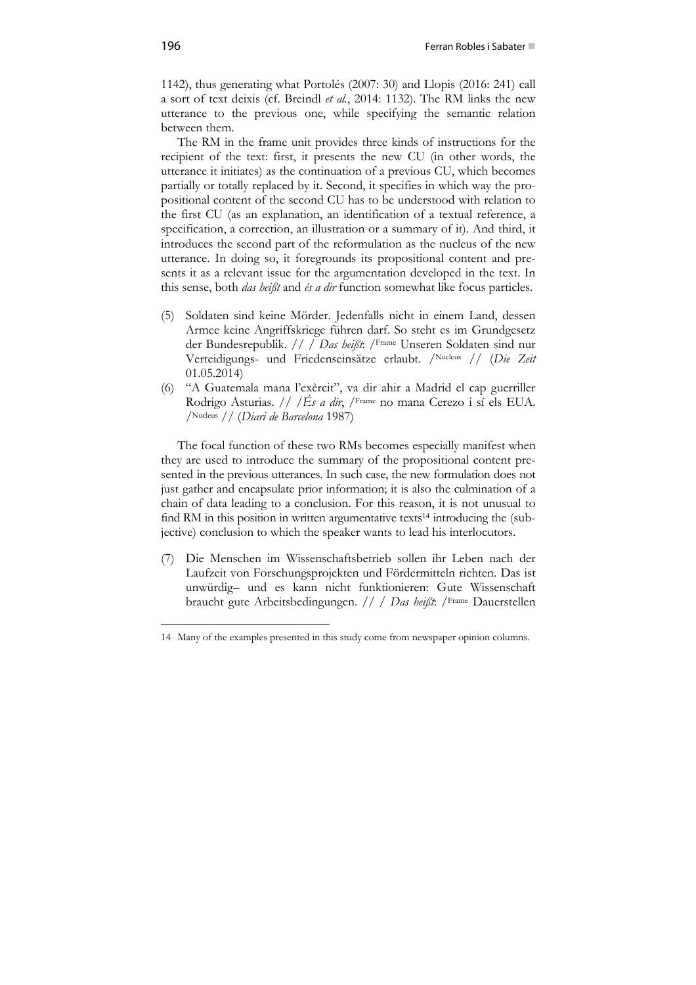1142), thus generating what Portolés (2007: 30) and Llopis (2016: 241) call a sort of text deixis (cf. Breindl *et al.*, 2014: 1132). The RM links the new utterance to the previous one, while specifying the semantic relation between them.

The RM in the frame unit provides three kinds of instructions for the recipient of the text: first, it presents the new CU (in other words, the utterance it initiates) as the continuation of a previous CU, which becomes partially or totally replaced by it. Second, it specifies in which way the propositional content of the second CU has to be understood with relation to the first CU (as an explanation, an identification of a textual reference, a specification, a correction, an illustration or a summary of it). And third, it introduces the second part of the reformulation as the nucleus of the new utterance. In doing so, it foregrounds its propositional content and presents it as a relevant issue for the argumentation developed in the text. In this sense, both *das heißt* and *és a dir* function somewhat like focus particles.

- (5) Soldaten sind keine Mörder. Jedenfalls nicht in einem Land, dessen Armee keine Angriffskriege führen darf. So steht es im Grundgesetz der Bundesrepublik. // / *Das heißt*: /Frame Unseren Soldaten sind nur Verteidigungs- und Friedenseinsätze erlaubt. /Nucleus // (*Die Zeit* 01.05.2014)
- (6) "A Guatemala mana l'exèrcit", va dir ahir a Madrid el cap guerriller Rodrigo Asturias. // /*És a dir*, /Frame no mana Cerezo i sí els EUA. /Nucleus // (*Diari de Barcelona* 1987)

The focal function of these two RMs becomes especially manifest when they are used to introduce the summary of the propositional content presented in the previous utterances. In such case, the new formulation does not just gather and encapsulate prior information; it is also the culmination of a chain of data leading to a conclusion. For this reason, it is not unusual to find RM in this position in written argumentative texts<sup>14</sup> introducing the (subjective) conclusion to which the speaker wants to lead his interlocutors.

(7) Die Menschen im Wissenschaftsbetrieb sollen ihr Leben nach der Laufzeit von Forschungsprojekten und Fördermitteln richten. Das ist unwürdig– und es kann nicht funktionieren: Gute Wissenschaft braucht gute Arbeitsbedingungen. // / *Das heißt*: /Frame Dauerstellen

<sup>14</sup> Many of the examples presented in this study come from newspaper opinion columns.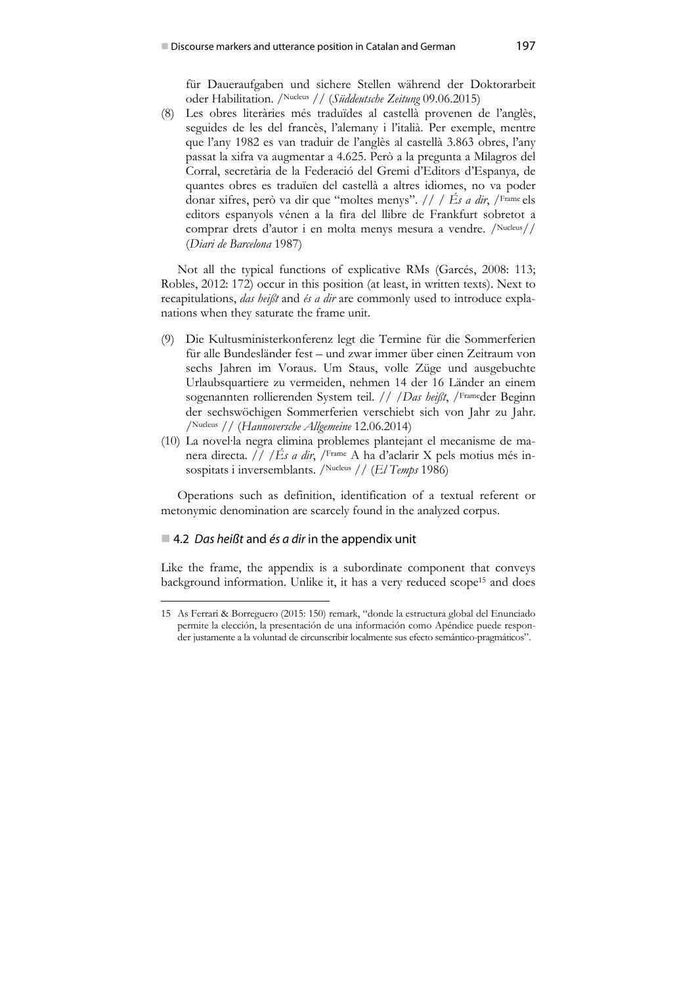für Daueraufgaben und sichere Stellen während der Doktorarbeit oder Habilitation. /Nucleus // (*Süddeutsche Zeitung* 09.06.2015)

(8) Les obres literàries més traduïdes al castellà provenen de l'anglès, seguides de les del francès, l'alemany i l'italià. Per exemple, mentre que l'any 1982 es van traduir de l'anglès al castellà 3.863 obres, l'any passat la xifra va augmentar a 4.625. Però a la pregunta a Milagros del Corral, secretària de la Federació del Gremi d'Editors d'Espanya, de quantes obres es traduïen del castellà a altres idiomes, no va poder donar xifres, però va dir que "moltes menys". // / *És a dir*, /Frame els editors espanyols vénen a la fira del llibre de Frankfurt sobretot a comprar drets d'autor i en molta menys mesura a vendre. /Nucleus// (*Diari de Barcelona* 1987)

Not all the typical functions of explicative RMs (Garcés, 2008: 113; Robles, 2012: 172) occur in this position (at least, in written texts). Next to recapitulations, *das heißt* and *és a dir* are commonly used to introduce explanations when they saturate the frame unit.

- (9) Die Kultusministerkonferenz legt die Termine für die Sommerferien für alle Bundesländer fest – und zwar immer über einen Zeitraum von sechs Jahren im Voraus. Um Staus, volle Züge und ausgebuchte Urlaubsquartiere zu vermeiden, nehmen 14 der 16 Länder an einem sogenannten rollierenden System teil. // /*Das heißt*, /Frameder Beginn der sechswöchigen Sommerferien verschiebt sich von Jahr zu Jahr. /Nucleus // (*Hannoversche Allgemeine* 12.06.2014)
- (10) La novel∙la negra elimina problemes plantejant el mecanisme de manera directa. // /*És a dir*, /Frame A ha d'aclarir X pels motius més insospitats i inversemblants. /Nucleus // (*El Temps* 1986)

Operations such as definition, identification of a textual referent or metonymic denomination are scarcely found in the analyzed corpus.

## ■ 4.2 *Das heißt* and *és a dir* in the appendix unit

1

Like the frame, the appendix is a subordinate component that conveys background information. Unlike it, it has a very reduced scope15 and does

<sup>15</sup> As Ferrari & Borreguero (2015: 150) remark, "donde la estructura global del Enunciado permite la elección, la presentación de una información como Apéndice puede responder justamente a la voluntad de circunscribir localmente sus efecto semántico-pragmáticos".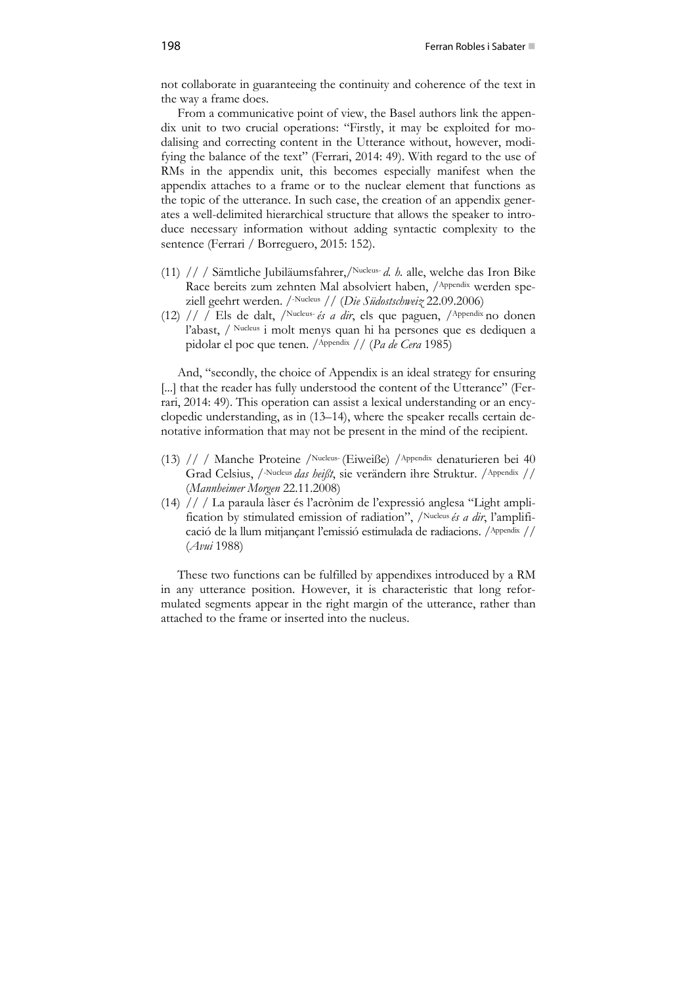not collaborate in guaranteeing the continuity and coherence of the text in the way a frame does.

From a communicative point of view, the Basel authors link the appendix unit to two crucial operations: "Firstly, it may be exploited for modalising and correcting content in the Utterance without, however, modifying the balance of the text" (Ferrari, 2014: 49). With regard to the use of RMs in the appendix unit, this becomes especially manifest when the appendix attaches to a frame or to the nuclear element that functions as the topic of the utterance. In such case, the creation of an appendix generates a well-delimited hierarchical structure that allows the speaker to introduce necessary information without adding syntactic complexity to the sentence (Ferrari / Borreguero, 2015: 152).

- (11) // / Sämtliche Jubiläumsfahrer,/Nucleus- *d. h.* alle, welche das Iron Bike Race bereits zum zehnten Mal absolviert haben, /Appendix werden speziell geehrt werden. /-Nucleus // (*Die Südostschweiz* 22.09.2006)
- (12) // / Els de dalt, /Nucleus- *és a dir*, els que paguen, /Appendix no donen l'abast, / Nucleus i molt menys quan hi ha persones que es dediquen a pidolar el poc que tenen. /Appendix // (*Pa de Cera* 1985)

And, "secondly, the choice of Appendix is an ideal strategy for ensuring [...] that the reader has fully understood the content of the Utterance" (Ferrari, 2014: 49). This operation can assist a lexical understanding or an encyclopedic understanding, as in (13–14), where the speaker recalls certain denotative information that may not be present in the mind of the recipient.

- (13) // / Manche Proteine /Nucleus- (Eiweiße) /Appendix denaturieren bei 40 Grad Celsius, /-Nucleus *das heißt*, sie verändern ihre Struktur. /Appendix // (*Mannheimer Morgen* 22.11.2008)
- (14) // / La paraula làser és l'acrònim de l'expressió anglesa "Light amplification by stimulated emission of radiation", /Nucleus *és a dir*, l'amplificació de la llum mitjançant l'emissió estimulada de radiacions. /Appendix // (*Avui* 1988)

These two functions can be fulfilled by appendixes introduced by a RM in any utterance position. However, it is characteristic that long reformulated segments appear in the right margin of the utterance, rather than attached to the frame or inserted into the nucleus.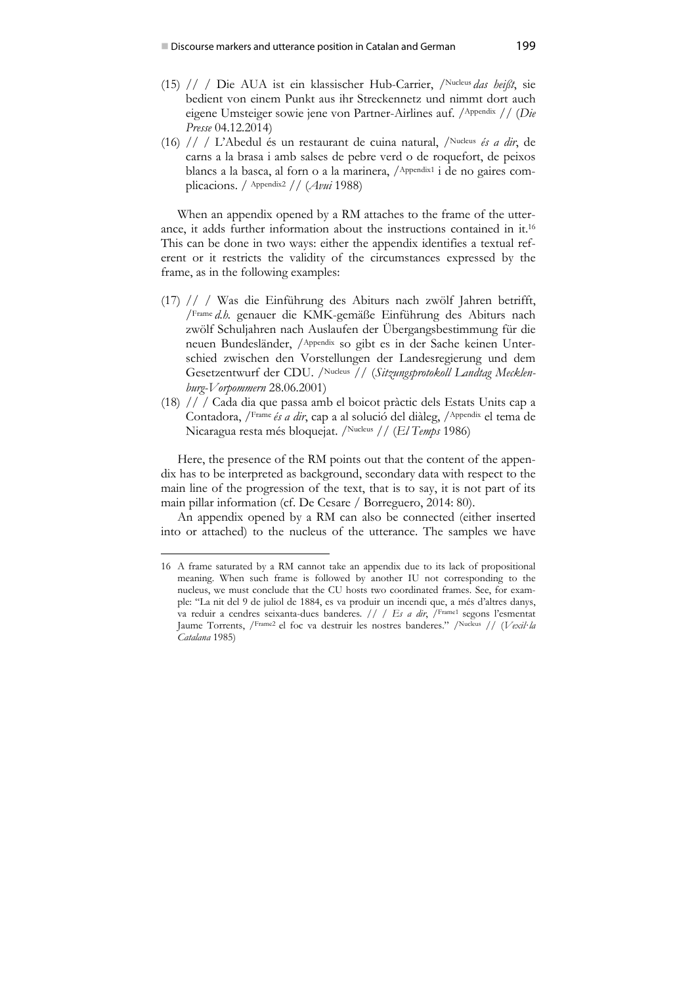- (15) // / Die AUA ist ein klassischer Hub-Carrier, /Nucleus *das heißt*, sie bedient von einem Punkt aus ihr Streckennetz und nimmt dort auch eigene Umsteiger sowie jene von Partner-Airlines auf. /Appendix // (*Die Presse* 04.12.2014)
- (16) // / L'Abedul és un restaurant de cuina natural, /Nucleus *és a dir*, de carns a la brasa i amb salses de pebre verd o de roquefort, de peixos blancs a la basca, al forn o a la marinera, /Appendix1 i de no gaires complicacions. / Appendix2 // (*Avui* 1988)

When an appendix opened by a RM attaches to the frame of the utterance, it adds further information about the instructions contained in it.16 This can be done in two ways: either the appendix identifies a textual referent or it restricts the validity of the circumstances expressed by the frame, as in the following examples:

- (17) // / Was die Einführung des Abiturs nach zwölf Jahren betrifft, /Frame *d.h.* genauer die KMK-gemäße Einführung des Abiturs nach zwölf Schuljahren nach Auslaufen der Übergangsbestimmung für die neuen Bundesländer, /Appendix so gibt es in der Sache keinen Unterschied zwischen den Vorstellungen der Landesregierung und dem Gesetzentwurf der CDU. /Nucleus // (*Sitzungsprotokoll Landtag Mecklenburg-Vorpommern* 28.06.2001)
- (18) // / Cada dia que passa amb el boicot pràctic dels Estats Units cap a Contadora, */Frame és a dir*, cap a al solució del diàleg, */Appendix el tema de* Nicaragua resta més bloquejat. /Nucleus // (*El Temps* 1986)

Here, the presence of the RM points out that the content of the appendix has to be interpreted as background, secondary data with respect to the main line of the progression of the text, that is to say, it is not part of its main pillar information (cf. De Cesare / Borreguero, 2014: 80).

An appendix opened by a RM can also be connected (either inserted into or attached) to the nucleus of the utterance. The samples we have

<sup>16</sup> A frame saturated by a RM cannot take an appendix due to its lack of propositional meaning. When such frame is followed by another IU not corresponding to the nucleus, we must conclude that the CU hosts two coordinated frames. See, for example: "La nit del 9 de juliol de 1884, es va produir un incendi que, a més d'altres danys, va reduir a cendres seixanta-dues banderes*. // / Es a dir*, /Frame1 segons l'esmentat Jaume Torrents, /Frame2 el foc va destruir les nostres banderes." /Nucleus // (*Vexil∙la Catalana* 1985)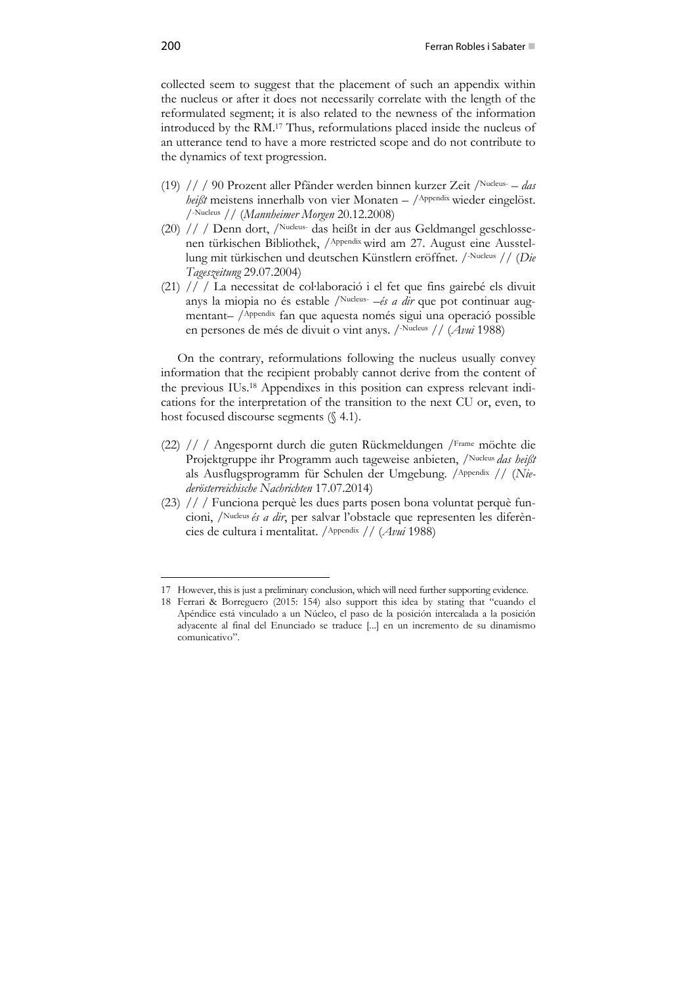collected seem to suggest that the placement of such an appendix within the nucleus or after it does not necessarily correlate with the length of the reformulated segment; it is also related to the newness of the information introduced by the RM.17 Thus, reformulations placed inside the nucleus of an utterance tend to have a more restricted scope and do not contribute to the dynamics of text progression.

- (19) // / 90 Prozent aller Pfänder werden binnen kurzer Zeit /Nucleus- *das heißt* meistens innerhalb von vier Monaten – /Appendix wieder eingelöst. /-Nucleus // (*Mannheimer Morgen* 20.12.2008)
- (20) // / Denn dort, /Nucleus- das heißt in der aus Geldmangel geschlossenen türkischen Bibliothek, /Appendix wird am 27. August eine Ausstellung mit türkischen und deutschen Künstlern eröffnet. /-Nucleus // (*Die Tageszeitung* 29.07.2004)
- (21) // / La necessitat de col∙laboració i el fet que fins gairebé els divuit anys la miopia no és estable /Nucleus- –*és a dir* que pot continuar augmentant– /Appendix fan que aquesta només sigui una operació possible en persones de més de divuit o vint anys. /-Nucleus // (*Avui* 1988)

On the contrary, reformulations following the nucleus usually convey information that the recipient probably cannot derive from the content of the previous IUs.18 Appendixes in this position can express relevant indications for the interpretation of the transition to the next CU or, even, to host focused discourse segments (§ 4.1).

- (22) // / Angespornt durch die guten Rückmeldungen /Frame möchte die Projektgruppe ihr Programm auch tageweise anbieten, /Nucleus *das heißt* als Ausflugsprogramm für Schulen der Umgebung. /Appendix // (*Niederösterreichische Nachrichten* 17.07.2014)
- (23) // / Funciona perquè les dues parts posen bona voluntat perquè funcioni, /Nucleus *és a dir*, per salvar l'obstacle que representen les diferències de cultura i mentalitat. /Appendix // (*Avui* 1988)

<sup>17</sup> However, this is just a preliminary conclusion, which will need further supporting evidence.

<sup>18</sup> Ferrari & Borreguero (2015: 154) also support this idea by stating that "cuando el Apéndice está vinculado a un Núcleo, el paso de la posición intercalada a la posición adyacente al final del Enunciado se traduce [...] en un incremento de su dinamismo comunicativo".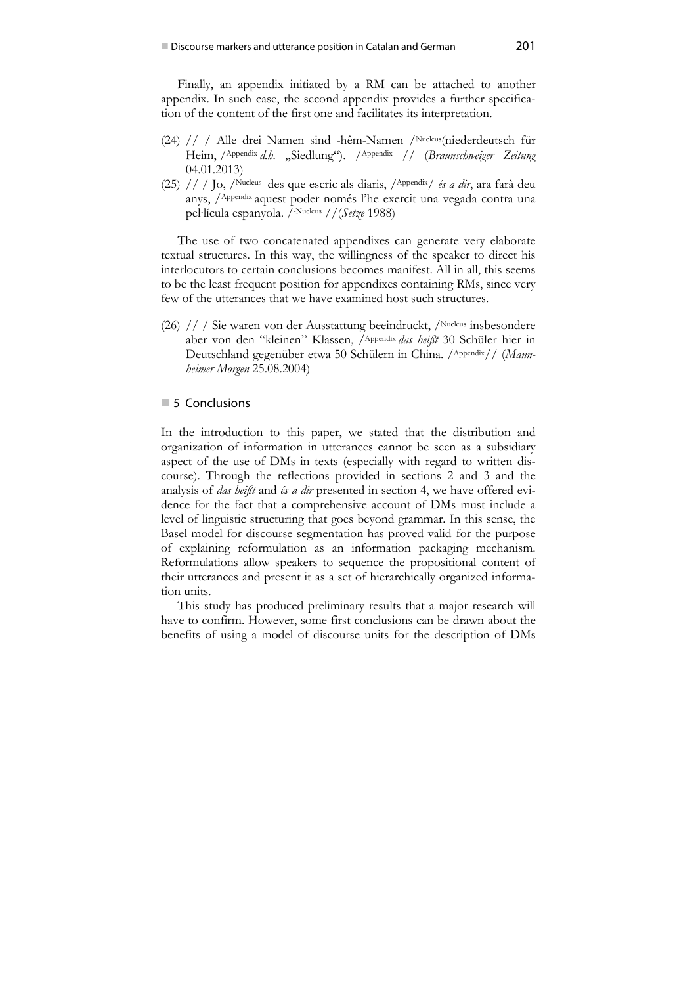Finally, an appendix initiated by a RM can be attached to another appendix. In such case, the second appendix provides a further specification of the content of the first one and facilitates its interpretation.

- (24) // / Alle drei Namen sind -hêm-Namen /Nucleus(niederdeutsch für Heim, <sup>Appendix</sup> d.h. "Siedlung"). <sup>Appendix</sup> // (*Braunschweiger Zeitung*) 04.01.2013)
- (25) // / Jo, /Nucleus- des que escric als diaris, /Appendix/ *és a dir*, ara farà deu anys, /Appendix aquest poder només l'he exercit una vegada contra una pel∙lícula espanyola. /-Nucleus //(*Setze* 1988)

The use of two concatenated appendixes can generate very elaborate textual structures. In this way, the willingness of the speaker to direct his interlocutors to certain conclusions becomes manifest. All in all, this seems to be the least frequent position for appendixes containing RMs, since very few of the utterances that we have examined host such structures.

(26) // / Sie waren von der Ausstattung beeindruckt, /Nucleus insbesondere aber von den "kleinen" Klassen, /Appendix *das heißt* 30 Schüler hier in Deutschland gegenüber etwa 50 Schülern in China. /Appendix// (*Mannheimer Morgen* 25.08.2004)

## **5** Conclusions

In the introduction to this paper, we stated that the distribution and organization of information in utterances cannot be seen as a subsidiary aspect of the use of DMs in texts (especially with regard to written discourse). Through the reflections provided in sections 2 and 3 and the analysis of *das heißt* and *és a dir* presented in section 4, we have offered evidence for the fact that a comprehensive account of DMs must include a level of linguistic structuring that goes beyond grammar. In this sense, the Basel model for discourse segmentation has proved valid for the purpose of explaining reformulation as an information packaging mechanism. Reformulations allow speakers to sequence the propositional content of their utterances and present it as a set of hierarchically organized information units.

This study has produced preliminary results that a major research will have to confirm. However, some first conclusions can be drawn about the benefits of using a model of discourse units for the description of DMs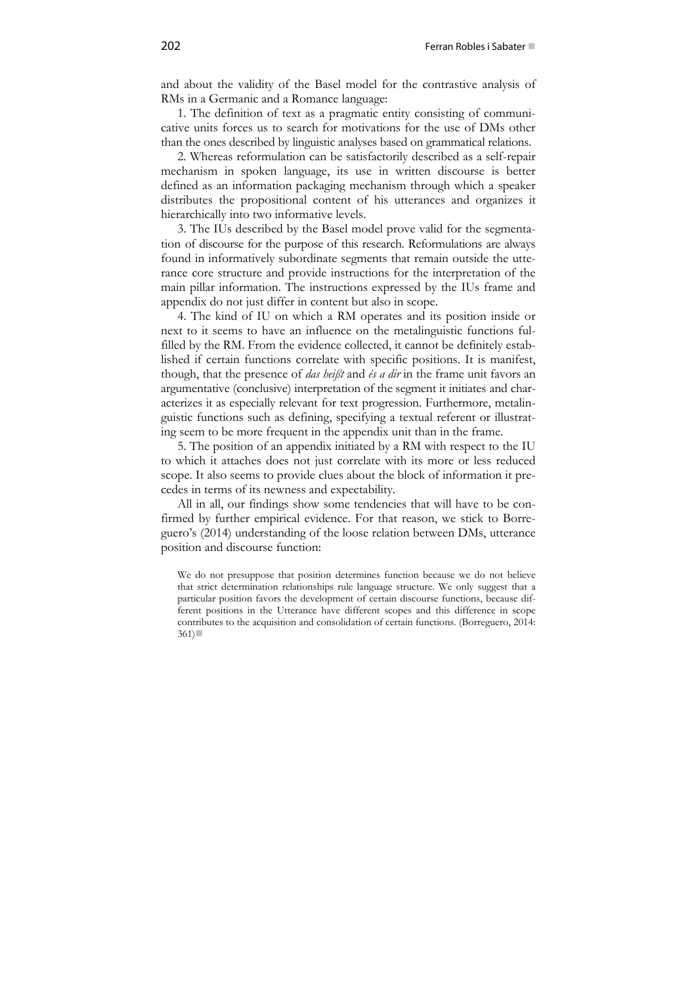and about the validity of the Basel model for the contrastive analysis of RMs in a Germanic and a Romance language:

1. The definition of text as a pragmatic entity consisting of communicative units forces us to search for motivations for the use of DMs other than the ones described by linguistic analyses based on grammatical relations.

2. Whereas reformulation can be satisfactorily described as a self-repair mechanism in spoken language, its use in written discourse is better defined as an information packaging mechanism through which a speaker distributes the propositional content of his utterances and organizes it hierarchically into two informative levels.

3. The IUs described by the Basel model prove valid for the segmentation of discourse for the purpose of this research. Reformulations are always found in informatively subordinate segments that remain outside the utterance core structure and provide instructions for the interpretation of the main pillar information. The instructions expressed by the IUs frame and appendix do not just differ in content but also in scope.

4. The kind of IU on which a RM operates and its position inside or next to it seems to have an influence on the metalinguistic functions fulfilled by the RM. From the evidence collected, it cannot be definitely established if certain functions correlate with specific positions. It is manifest, though, that the presence of *das heißt* and *és a dir* in the frame unit favors an argumentative (conclusive) interpretation of the segment it initiates and characterizes it as especially relevant for text progression. Furthermore, metalinguistic functions such as defining, specifying a textual referent or illustrating seem to be more frequent in the appendix unit than in the frame.

5. The position of an appendix initiated by a RM with respect to the IU to which it attaches does not just correlate with its more or less reduced scope. It also seems to provide clues about the block of information it precedes in terms of its newness and expectability.

All in all, our findings show some tendencies that will have to be confirmed by further empirical evidence. For that reason, we stick to Borreguero's (2014) understanding of the loose relation between DMs, utterance position and discourse function:

We do not presuppose that position determines function because we do not believe that strict determination relationships rule language structure. We only suggest that a particular position favors the development of certain discourse functions, because different positions in the Utterance have different scopes and this difference in scope contributes to the acquisition and consolidation of certain functions. (Borreguero, 2014:  $361$ )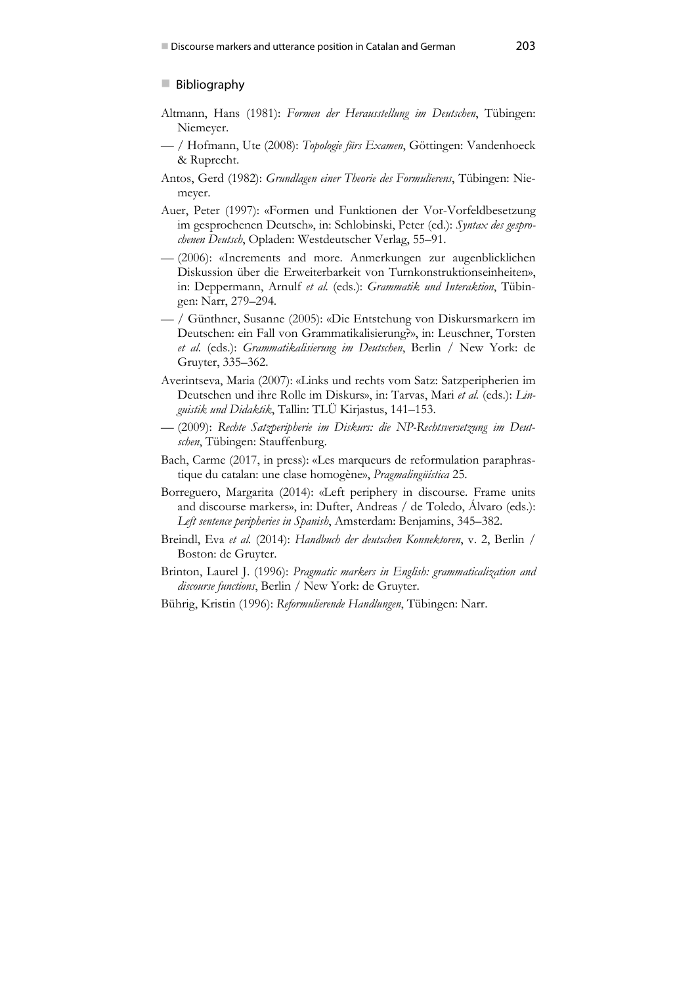### **Bibliography**

- Altmann, Hans (1981): *Formen der Herausstellung im Deutschen*, Tübingen: Niemeyer.
- / Hofmann, Ute (2008): *Topologie fürs Examen*, Göttingen: Vandenhoeck & Ruprecht.
- Antos, Gerd (1982): *Grundlagen einer Theorie des Formulierens*, Tübingen: Niemeyer.
- Auer, Peter (1997): «Formen und Funktionen der Vor-Vorfeldbesetzung im gesprochenen Deutsch», in: Schlobinski, Peter (ed.): *Syntax des gesprochenen Deutsch*, Opladen: Westdeutscher Verlag, 55–91.
- (2006): «Increments and more. Anmerkungen zur augenblicklichen Diskussion über die Erweiterbarkeit von Turnkonstruktionseinheiten», in: Deppermann, Arnulf *et al.* (eds.): *Grammatik und Interaktion*, Tübingen: Narr, 279–294.
- / Günthner, Susanne (2005): «Die Entstehung von Diskursmarkern im Deutschen: ein Fall von Grammatikalisierung?», in: Leuschner, Torsten *et al.* (eds.): *Grammatikalisierung im Deutschen*, Berlin / New York: de Gruyter, 335–362.
- Averintseva, Maria (2007): «Links und rechts vom Satz: Satzperipherien im Deutschen und ihre Rolle im Diskurs», in: Tarvas, Mari *et al.* (eds.): *Linguistik und Didaktik*, Tallin: TLÜ Kirjastus, 141–153.
- (2009): *Rechte Satzperipherie im Diskurs: die NP-Rechtsversetzung im Deutschen*, Tübingen: Stauffenburg.
- Bach, Carme (2017, in press): «Les marqueurs de reformulation paraphrastique du catalan: une clase homogène», *Pragmalingüística* 25.
- Borreguero, Margarita (2014): «Left periphery in discourse. Frame units and discourse markers», in: Dufter, Andreas / de Toledo, Álvaro (eds.): *Left sentence peripheries in Spanish*, Amsterdam: Benjamins, 345–382.
- Breindl, Eva *et al.* (2014): *Handbuch der deutschen Konnektoren*, v. 2, Berlin / Boston: de Gruyter.
- Brinton, Laurel J. (1996): *Pragmatic markers in English: grammaticalization and discourse functions*, Berlin / New York: de Gruyter.
- Bührig, Kristin (1996): *Reformulierende Handlungen*, Tübingen: Narr.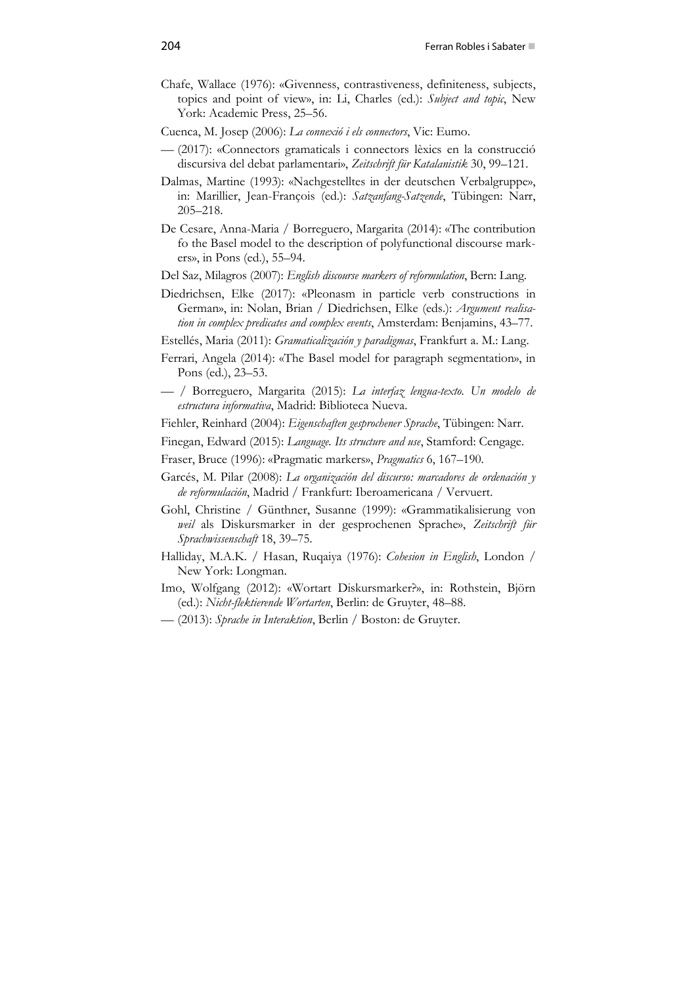- Chafe, Wallace (1976): «Givenness, contrastiveness, definiteness, subjects, topics and point of view», in: Li, Charles (ed.): *Subject and topic*, New York: Academic Press, 25–56.
- Cuenca, M. Josep (2006): *La connexió i els connectors*, Vic: Eumo.
- (2017): «Connectors gramaticals i connectors lèxics en la construcció discursiva del debat parlamentari», *Zeitschrift für Katalanistik* 30, 99–121.
- Dalmas, Martine (1993): «Nachgestelltes in der deutschen Verbalgruppe», in: Marillier, Jean-François (ed.): *Satzanfang-Satzende*, Tübingen: Narr, 205–218.
- De Cesare, Anna-Maria / Borreguero, Margarita (2014): «The contribution fo the Basel model to the description of polyfunctional discourse markers», in Pons (ed.), 55–94.
- Del Saz, Milagros (2007): *English discourse markers of reformulation*, Bern: Lang.
- Diedrichsen, Elke (2017): «Pleonasm in particle verb constructions in German», in: Nolan, Brian / Diedrichsen, Elke (eds.): *Argument realisation in complex predicates and complex events*, Amsterdam: Benjamins, 43–77.
- Estellés, Maria (2011): *Gramaticalización y paradigmas*, Frankfurt a. M.: Lang.
- Ferrari, Angela (2014): «The Basel model for paragraph segmentation», in Pons (ed.), 23–53.
- / Borreguero, Margarita (2015): *La interfaz lengua-texto. Un modelo de estructura informativa*, Madrid: Biblioteca Nueva.
- Fiehler, Reinhard (2004): *Eigenschaften gesprochener Sprache*, Tübingen: Narr.
- Finegan, Edward (2015): *Language. Its structure and use*, Stamford: Cengage.
- Fraser, Bruce (1996): «Pragmatic markers», *Pragmatics* 6, 167–190.
- Garcés, M. Pilar (2008): *La organización del discurso: marcadores de ordenación y de reformulación*, Madrid / Frankfurt: Iberoamericana / Vervuert.
- Gohl, Christine / Günthner, Susanne (1999): «Grammatikalisierung von *weil* als Diskursmarker in der gesprochenen Sprache», *Zeitschrift für Sprachwissenschaft* 18, 39–75.
- Halliday, M.A.K. / Hasan, Ruqaiya (1976): *Cohesion in English*, London / New York: Longman.
- Imo, Wolfgang (2012): «Wortart Diskursmarker?», in: Rothstein, Björn (ed.): *Nicht-flektierende Wortarten*, Berlin: de Gruyter, 48–88.
- (2013): *Sprache in Interaktion*, Berlin / Boston: de Gruyter.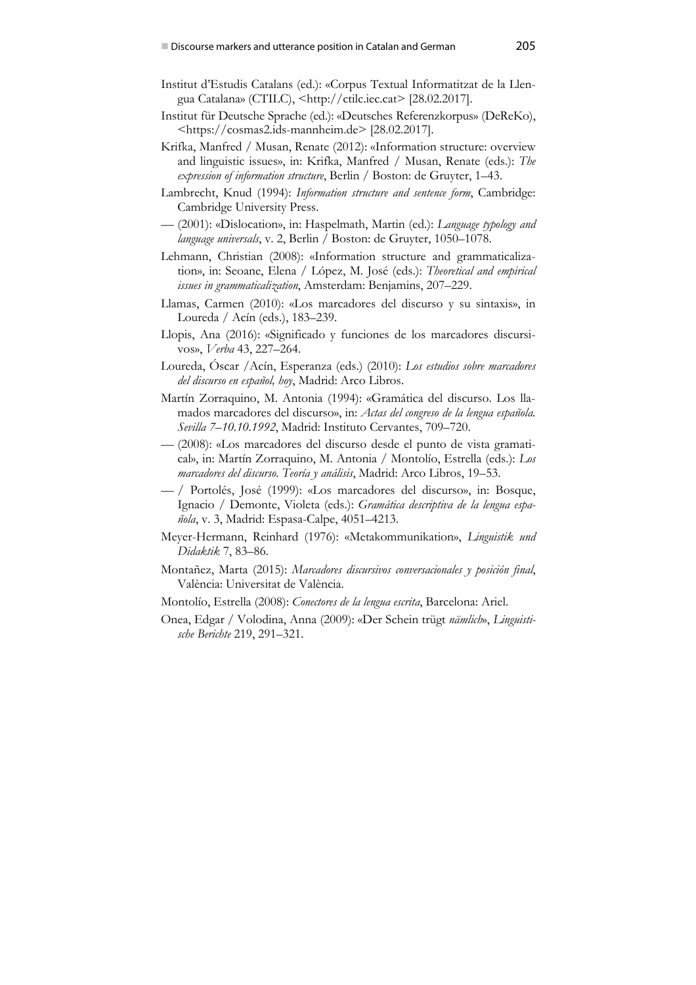- Institut d'Estudis Catalans (ed.): «Corpus Textual Informatitzat de la Llengua Catalana» (CTILC), <http://ctilc.iec.cat> [28.02.2017].
- Institut für Deutsche Sprache (ed.): «Deutsches Referenzkorpus» (DeReKo), <https://cosmas2.ids-mannheim.de> [28.02.2017].
- Krifka, Manfred / Musan, Renate (2012): «Information structure: overview and linguistic issues», in: Krifka, Manfred / Musan, Renate (eds.): *The expression of information structure*, Berlin / Boston: de Gruyter, 1–43.
- Lambrecht, Knud (1994): *Information structure and sentence form*, Cambridge: Cambridge University Press.
- (2001): «Dislocation», in: Haspelmath, Martin (ed.): *Language typology and language universals*, v. 2, Berlin / Boston: de Gruyter, 1050–1078.
- Lehmann, Christian (2008): «Information structure and grammaticalization», in: Seoane, Elena / López, M. José (eds.): *Theoretical and empirical issues in grammaticalization*, Amsterdam: Benjamins, 207–229.
- Llamas, Carmen (2010): «Los marcadores del discurso y su sintaxis», in Loureda / Acín (eds.), 183–239.
- Llopis, Ana (2016): «Significado y funciones de los marcadores discursivos», *Verba* 43, 227–264.
- Loureda, Óscar /Acín, Esperanza (eds.) (2010): *Los estudios sobre marcadores del discurso en español, hoy*, Madrid: Arco Libros.
- Martín Zorraquino, M. Antonia (1994): «Gramática del discurso. Los llamados marcadores del discurso», in: *Actas del congreso de la lengua española. Sevilla 7–10.10.1992*, Madrid: Instituto Cervantes, 709–720.
- (2008): «Los marcadores del discurso desde el punto de vista gramatical», in: Martín Zorraquino, M. Antonia / Montolío, Estrella (eds.): *Los marcadores del discurso. Teoría y análisis*, Madrid: Arco Libros, 19–53.
- / Portolés, José (1999): «Los marcadores del discurso», in: Bosque, Ignacio / Demonte, Violeta (eds.): *Gramática descriptiva de la lengua española*, v. 3, Madrid: Espasa-Calpe, 4051–4213.
- Meyer-Hermann, Reinhard (1976): «Metakommunikation», *Linguistik und Didaktik* 7, 83–86.
- Montañez, Marta (2015): *Marcadores discursivos conversacionales y posición final*, València: Universitat de València.
- Montolío, Estrella (2008): *Conectores de la lengua escrita*, Barcelona: Ariel.
- Onea, Edgar / Volodina, Anna (2009): «Der Schein trügt *nämlich*», *Linguistische Berichte* 219, 291–321.